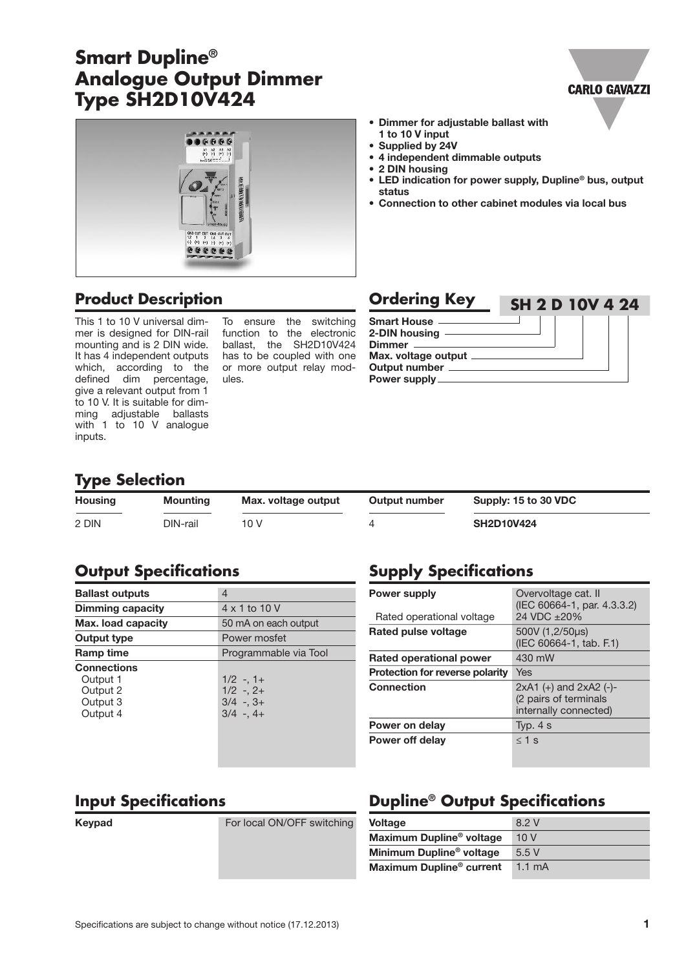## **Smart Dupline® Analogue Output Dimmer Type SH2D10V424**



### **Product Description Ordering Key**

This 1 to 10 V universal dimmer is designed for DIN-rail mounting and is 2 DIN wide. It has 4 independent outputs which, according to the defined dim percentage, give a relevant output from 1 to 10 V. It is suitable for dimming adjustable ballasts with 1 to 10 V analogue inputs.

To ensure the switching function to the electronic ballast, the SH2D10V424 has to be coupled with one or more output relay modules.

| • Dimmer for adjustable ballast with |
|--------------------------------------|
| 1 to 10 V input                      |
|                                      |

- **• Supplied by 24V**
- **• 4 independent dimmable outputs**
- **• 2 DIN housing**

**Power supply**

**• LED indication for power supply, Dupline® bus, output status**

**CARLO GAVAZZI** 

**• Connection to other cabinet modules via local bus**

#### **Smart House 2-DIN housing Dimmer Max. voltage output Output number SH 2 D 10V 4 24**

**Type Selection**

| <b>Housing</b> | Mounting | Max. voltage output | Output number | Supply: 15 to 30 VDC |
|----------------|----------|---------------------|---------------|----------------------|
| 2 DIN          | DIN-rail | 10 V                |               | <b>SH2D10V424</b>    |

### **Output Specifications**

| <b>Ballast outputs</b>                                             | 4                                                        |  |
|--------------------------------------------------------------------|----------------------------------------------------------|--|
| <b>Dimming capacity</b>                                            | 4 x 1 to 10 V                                            |  |
| Max. load capacity                                                 | 50 mA on each output                                     |  |
| Output type                                                        | Power mosfet                                             |  |
| Ramp time                                                          | Programmable via Tool                                    |  |
| <b>Connections</b><br>Output 1<br>Output 2<br>Output 3<br>Output 4 | $1/2 - 1 +$<br>$1/2 - 2 +$<br>$3/4 - 3 +$<br>$3/4 - 4 +$ |  |
|                                                                    |                                                          |  |

### **Supply Specifications**

| <b>Power supply</b><br>Rated operational voltage | Overvoltage cat. II<br>(IEC 60664-1, par. 4.3.3.2)<br>24 VDC +20%             |
|--------------------------------------------------|-------------------------------------------------------------------------------|
| Rated pulse voltage                              | 500V (1,2/50us)<br>(IEC 60664-1, tab. F.1)                                    |
| Rated operational power                          | 430 mW                                                                        |
| <b>Protection for reverse polarity</b>           | Yes                                                                           |
| <b>Connection</b>                                | $2xA1 (+)$ and $2xA2 (-)$ -<br>(2 pairs of terminals<br>internally connected) |
| Power on delay                                   | Typ. $4 s$                                                                    |
| Power off delay                                  | $<$ 1 s                                                                       |

### **Input Specifications**

**Keypad For local ON/OFF switching** 

### **Dupline® Output Specifications**

| <b>Voltage</b>                       | 8.2 V            |
|--------------------------------------|------------------|
| Maximum Dupline <sup>®</sup> voltage | 10V              |
| Minimum Dupline <sup>®</sup> voltage | 5.5V             |
| Maximum Dupline <sup>®</sup> current | $1.1 \text{ mA}$ |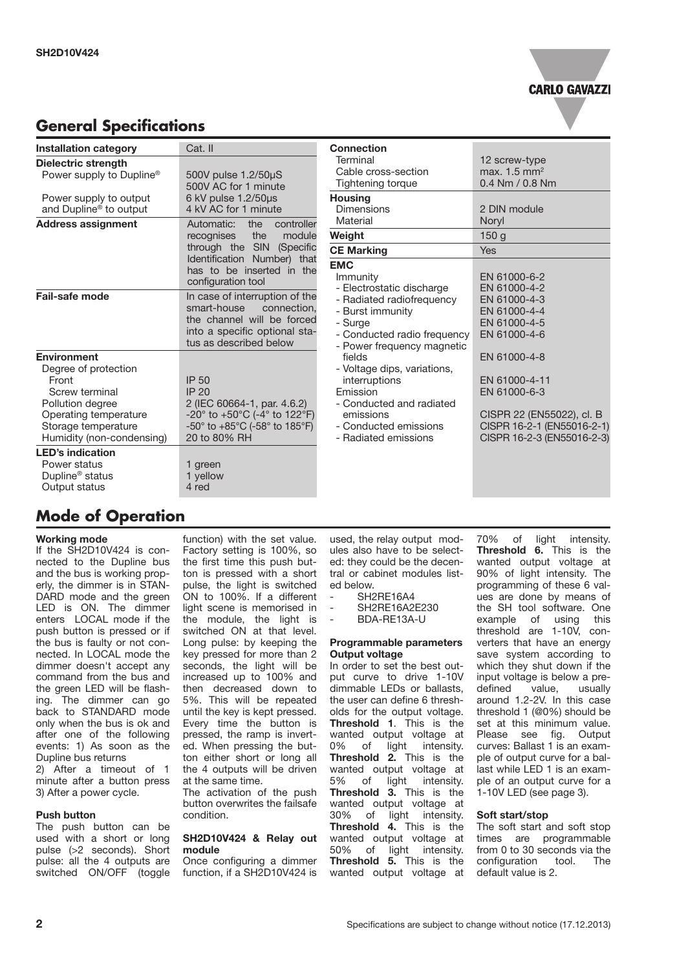

### **General Specifications**

| <b>Installation category</b>                                                                                                                                           | Cat. II                                                                                                                                                                                                                | <b>Connection</b>                                                                                                                                            |                                                                                                                                        |
|------------------------------------------------------------------------------------------------------------------------------------------------------------------------|------------------------------------------------------------------------------------------------------------------------------------------------------------------------------------------------------------------------|--------------------------------------------------------------------------------------------------------------------------------------------------------------|----------------------------------------------------------------------------------------------------------------------------------------|
| <b>Dielectric strength</b><br>Power supply to Dupline®                                                                                                                 | 500V pulse 1.2/50µS                                                                                                                                                                                                    | Terminal<br>Cable cross-section                                                                                                                              | 12 screw-type<br>max. $1.5 \text{ mm}^2$                                                                                               |
|                                                                                                                                                                        | 500V AC for 1 minute                                                                                                                                                                                                   | Tightening torque                                                                                                                                            | 0.4 Nm / 0.8 Nm                                                                                                                        |
| Power supply to output<br>and Dupline <sup>®</sup> to output                                                                                                           | 6 kV pulse 1.2/50µs<br>4 kV AC for 1 minute                                                                                                                                                                            | <b>Housing</b><br><b>Dimensions</b>                                                                                                                          | 2 DIN module                                                                                                                           |
| <b>Address assignment</b>                                                                                                                                              | the<br>controller<br>Automatic:                                                                                                                                                                                        | Material                                                                                                                                                     | Noryl                                                                                                                                  |
|                                                                                                                                                                        | the<br>module<br>recognises                                                                                                                                                                                            | Weight                                                                                                                                                       | 150q                                                                                                                                   |
|                                                                                                                                                                        | through the SIN<br>(Specific                                                                                                                                                                                           | <b>CE Marking</b>                                                                                                                                            | <b>Yes</b>                                                                                                                             |
|                                                                                                                                                                        | Identification Number) that<br>has to be inserted in the<br>configuration tool                                                                                                                                         | <b>EMC</b><br>Immunity<br>- Electrostatic discharge                                                                                                          | EN 61000-6-2<br>EN 61000-4-2                                                                                                           |
| Fail-safe mode                                                                                                                                                         | In case of interruption of the<br>smart-house<br>connection.<br>the channel will be forced<br>into a specific optional sta-<br>tus as described below                                                                  | - Radiated radiofrequency<br>- Burst immunity<br>- Surge<br>- Conducted radio frequency<br>- Power frequency magnetic                                        | EN 61000-4-3<br>EN 61000-4-4<br>EN 61000-4-5<br>EN 61000-4-6                                                                           |
| <b>Environment</b><br>Degree of protection<br>Front<br>Screw terminal<br>Pollution degree<br>Operating temperature<br>Storage temperature<br>Humidity (non-condensing) | <b>IP 50</b><br>IP20<br>2 (IEC 60664-1, par. 4.6.2)<br>$-20^{\circ}$ to $+50^{\circ}$ C (-4 $^{\circ}$ to 122 $^{\circ}$ F)<br>-50 $^{\circ}$ to +85 $^{\circ}$ C (-58 $^{\circ}$ to 185 $^{\circ}$ F)<br>20 to 80% RH | fields<br>- Voltage dips, variations,<br>interruptions<br>Emission<br>- Conducted and radiated<br>emissions<br>- Conducted emissions<br>- Radiated emissions | EN 61000-4-8<br>EN 61000-4-11<br>EN 61000-6-3<br>CISPR 22 (EN55022), cl. B<br>CISPR 16-2-1 (EN55016-2-1)<br>CISPR 16-2-3 (EN55016-2-3) |
| <b>LED's indication</b><br>Power status<br>Dupline <sup>®</sup> status<br>Output status                                                                                | 1 green<br>1 yellow<br>4 red                                                                                                                                                                                           |                                                                                                                                                              |                                                                                                                                        |

### **Mode of Operation**

#### **Working mode**

If the  $\overline{S}$ H2D10V424 is connected to the Dupline bus and the bus is working properly, the dimmer is in STAN-DARD mode and the green LED is ON. The dimmer enters LOCAL mode if the push button is pressed or if the bus is faulty or not connected. In LOCAL mode the dimmer doesn't accept any command from the bus and the green LED will be flashing. The dimmer can go back to STANDARD mode only when the bus is ok and after one of the following events: 1) As soon as the Dupline bus returns 2) After a timeout of 1 minute after a button press 3) After a power cycle.

#### **Push button**

The push button can be used with a short or long pulse (>2 seconds). Short pulse: all the 4 outputs are switched ON/OFF (toggle

function) with the set value. Factory setting is 100%, so the first time this push button is pressed with a short pulse, the light is switched ON to 100%. If a different light scene is memorised in the module, the light is switched ON at that level. Long pulse: by keeping the key pressed for more than 2 seconds, the light will be increased up to 100% and then decreased down to 5%. This will be repeated until the key is kept pressed. Every time the button is pressed, the ramp is inverted. When pressing the button either short or long all the 4 outputs will be driven at the same time.

The activation of the push button overwrites the failsafe condition.

#### **SH2D10V424 & Relay out module**

Once configuring a dimmer function, if a SH2D10V424 is used, the relay output modules also have to be selected: they could be the decentral or cabinet modules listed below.

- SH2RE16A4
- SH2RE16A2E230
- BDA-RE13A-U

#### **Programmable parameters Output voltage**

In order to set the best output curve to drive 1-10V dimmable LEDs or ballasts, the user can define 6 thresholds for the output voltage. **Threshold 1**. This is the wanted output voltage at 0% of light intensity. **Threshold 2.** This is the wanted output voltage at 5% of light intensity. **Threshold 3.** This is the wanted output voltage at 30% of light intensity. **Threshold 4.** This is the wanted output voltage at 50% of light intensity. **Threshold 5.** This is the wanted output voltage at

70% of light intensity. **Threshold 6.** This is the wanted output voltage at 90% of light intensity. The programming of these 6 values are done by means of the SH tool software. One example of using this threshold are 1-10V, converters that have an energy save system according to which they shut down if the input voltage is below a predefined around 1.2-2V. In this case threshold 1 (@0%) should be set at this minimum value. Please see fig. Output curves: Ballast 1 is an example of output curve for a ballast while LED 1 is an example of an output curve for a 1-10V LED (see page 3).

#### **Soft start/stop**

The soft start and soft stop times are programmable from 0 to 30 seconds via the configuration tool. The default value is 2.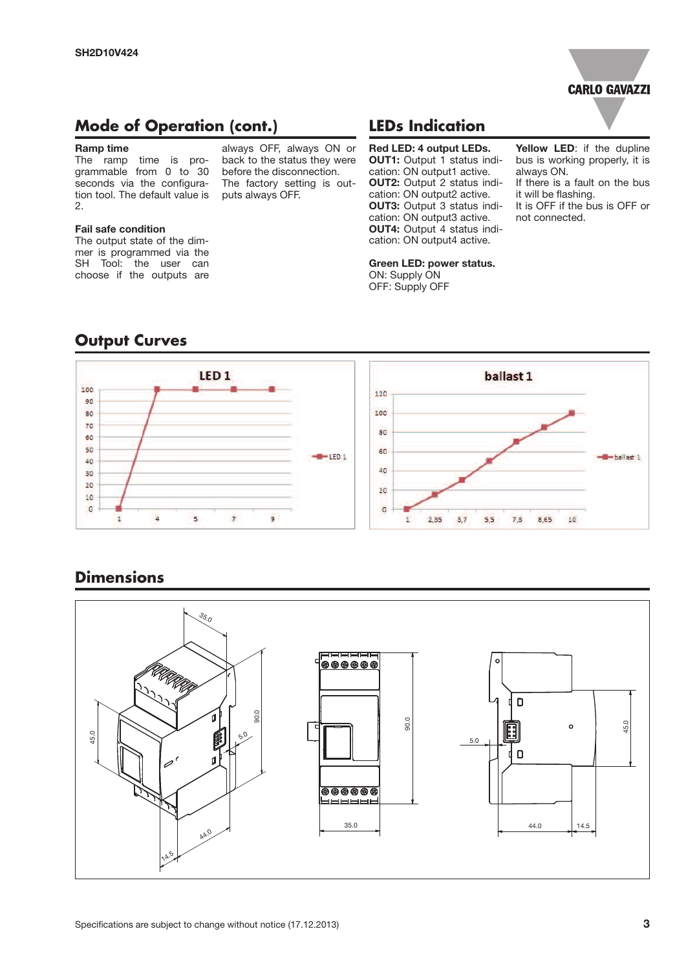

### **Mode of Operation (cont.)**

#### **Ramp time**

The ramp time is programmable from 0 to 30 seconds via the configuration tool. The default value is 2.

#### **Fail safe condition**

The output state of the dimmer is programmed via the SH Tool: the user can choose if the outputs are

#### always OFF, always ON or back to the status they were before the disconnection. The factory setting is outputs always OFF.

### **LEDs Indication**

**Red LED: 4 output LEDs. OUT1:** Output 1 status indication: ON output1 active. **OUT2:** Output 2 status indication: ON output2 active. **OUT3:** Output 3 status indication: ON output3 active. **OUT4:** Output 4 status indication: ON output4 active.

**Green LED: power status.**

ON: Supply ON OFF: Supply OFF

bus is working properly, it is always ON. If there is a fault on the bus it will be flashing. It is OFF if the bus is OFF or not connected.

**Yellow LED**: if the dupline

# **Output Curves**



### **Dimensions**